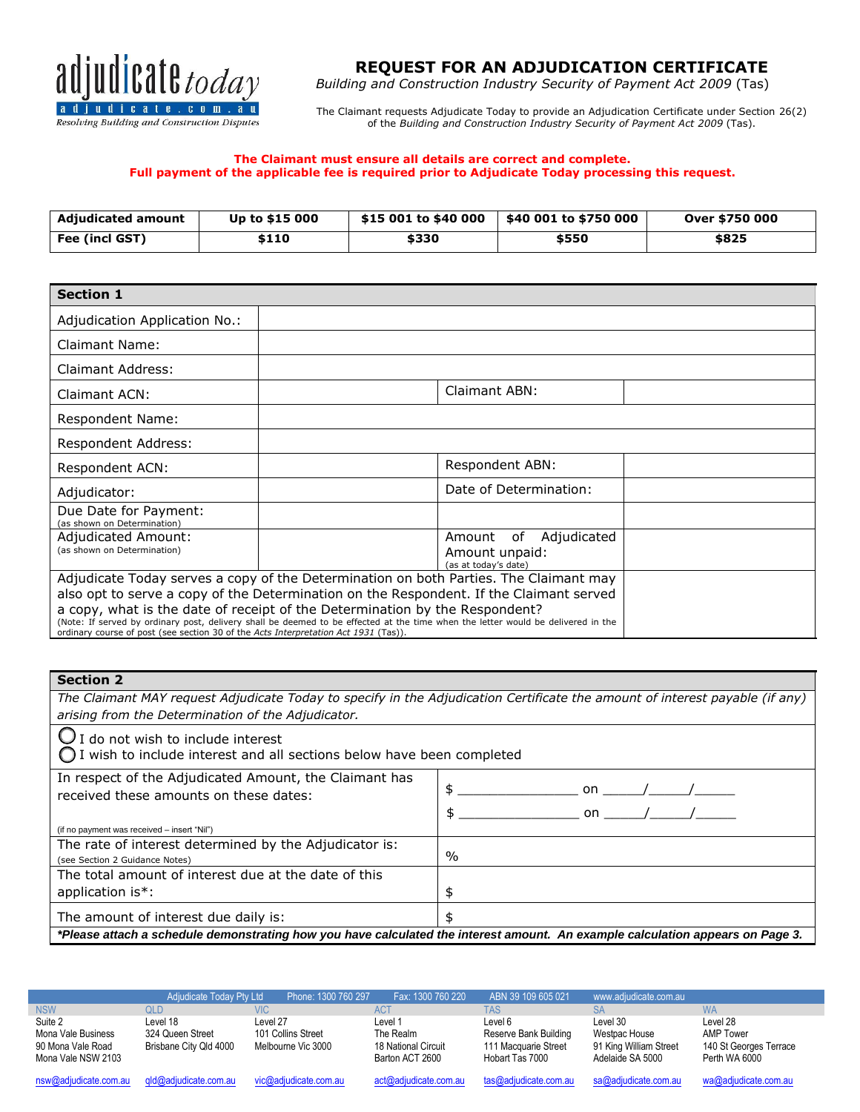

# **REQUEST FOR AN ADJUDICATION CERTIFICATE**

*Building and Construction Industry Security of Payment Act 2009* (Tas)

The Claimant requests Adjudicate Today to provide an Adjudication Certificate under Section 26(2) of the *Building and Construction Industry Security of Payment Act 2009* (Tas).

#### **The Claimant must ensure all details are correct and complete. Full payment of the applicable fee is required prior to Adjudicate Today processing this request.**

| Adiudicated amount | Up to \$15 000 | \$15 001 to \$40 000 | \$40 001 to \$750 000 | Over \$750 000 |
|--------------------|----------------|----------------------|-----------------------|----------------|
| Fee (incl GST)     | \$110          | \$330                | \$550                 | \$825          |

| <b>Section 1</b>                                                                                                      |                                                                                                                                  |                        |  |  |  |  |  |
|-----------------------------------------------------------------------------------------------------------------------|----------------------------------------------------------------------------------------------------------------------------------|------------------------|--|--|--|--|--|
| Adjudication Application No.:                                                                                         |                                                                                                                                  |                        |  |  |  |  |  |
| <b>Claimant Name:</b>                                                                                                 |                                                                                                                                  |                        |  |  |  |  |  |
| Claimant Address:                                                                                                     |                                                                                                                                  |                        |  |  |  |  |  |
| Claimant ACN:                                                                                                         | Claimant ABN:                                                                                                                    |                        |  |  |  |  |  |
| Respondent Name:                                                                                                      |                                                                                                                                  |                        |  |  |  |  |  |
| Respondent Address:                                                                                                   |                                                                                                                                  |                        |  |  |  |  |  |
| Respondent ACN:                                                                                                       |                                                                                                                                  | Respondent ABN:        |  |  |  |  |  |
| Adjudicator:                                                                                                          |                                                                                                                                  | Date of Determination: |  |  |  |  |  |
| Due Date for Payment:<br>(as shown on Determination)                                                                  |                                                                                                                                  |                        |  |  |  |  |  |
| Adjudicated Amount:<br>Amount of Adjudicated<br>(as shown on Determination)<br>Amount unpaid:<br>(as at today's date) |                                                                                                                                  |                        |  |  |  |  |  |
|                                                                                                                       | Adjudicate Today serves a copy of the Determination on both Parties. The Claimant may                                            |                        |  |  |  |  |  |
|                                                                                                                       | also opt to serve a copy of the Determination on the Respondent. If the Claimant served                                          |                        |  |  |  |  |  |
|                                                                                                                       | a copy, what is the date of receipt of the Determination by the Respondent?                                                      |                        |  |  |  |  |  |
| ordinary course of post (see section 30 of the Acts Interpretation Act 1931 (Tas)).                                   | (Note: If served by ordinary post, delivery shall be deemed to be effected at the time when the letter would be delivered in the |                        |  |  |  |  |  |

### **Section 2**

*The Claimant MAY request Adjudicate Today to specify in the Adjudication Certificate the amount of interest payable (if any) arising from the Determination of the Adjudicator.* 

 $\bigcup$  I do not wish to include interest

 $\bigcirc$  I wish to include interest and all sections below have been completed

| In respect of the Adjudicated Amount, the Claimant has<br>received these amounts on these dates:                               | \$<br>on /<br>on |  |  |  |
|--------------------------------------------------------------------------------------------------------------------------------|------------------|--|--|--|
| (if no payment was received - insert "Nil")                                                                                    |                  |  |  |  |
| The rate of interest determined by the Adjudicator is:<br>(see Section 2 Guidance Notes)                                       | $\frac{0}{0}$    |  |  |  |
| The total amount of interest due at the date of this                                                                           |                  |  |  |  |
| application is*:                                                                                                               | \$               |  |  |  |
| The amount of interest due daily is:                                                                                           | \$               |  |  |  |
| *Please attach a schedule demonstrating how you have calculated the interest amount. An example calculation appears on Page 3. |                  |  |  |  |

|                                                                          | <b>Adjudicate Today Pty Ltd</b>                        | Phone: 1300 760 297                                  | Fax: 1300 760 220                                              | ABN 39 109 605 021                                                          | www.adjudicate.com.au                                                   |                                                                         |
|--------------------------------------------------------------------------|--------------------------------------------------------|------------------------------------------------------|----------------------------------------------------------------|-----------------------------------------------------------------------------|-------------------------------------------------------------------------|-------------------------------------------------------------------------|
| <b>NSW</b>                                                               | QLD                                                    | VIC                                                  | ACT                                                            | TAS                                                                         |                                                                         | <b>WA</b>                                                               |
| Suite 2<br>Mona Vale Business<br>90 Mona Vale Road<br>Mona Vale NSW 2103 | Level 18<br>324 Queen Street<br>Brisbane City Qld 4000 | Level 27<br>101 Collins Street<br>Melbourne Vic 3000 | Level 1<br>The Realm<br>18 National Circuit<br>Barton ACT 2600 | Level 6<br>Reserve Bank Building<br>111 Macquarie Street<br>Hobart Tas 7000 | Level 30<br>Westpac House<br>91 King William Street<br>Adelaide SA 5000 | Level 28<br><b>AMP Tower</b><br>140 St Georges Terrace<br>Perth WA 6000 |
| nsw@adjudicate.com.au                                                    | gld@adjudicate.com.au                                  | vic@adiudicate.com.au                                | act@adjudicate.com.au                                          | tas@adjudicate.com.au                                                       | sa@adjudicate.com.au                                                    | wa@adjudicate.com.au                                                    |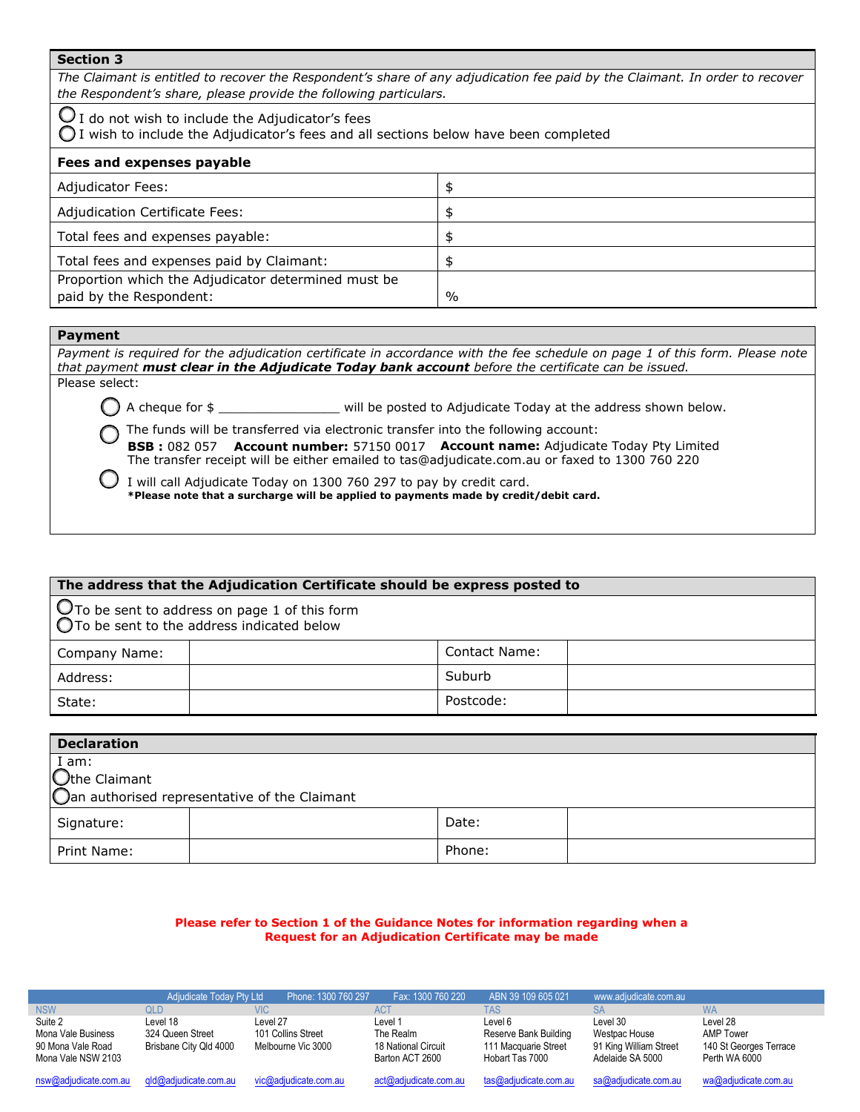### **Section 3**

*The Claimant is entitled to recover the Respondent's share of any adjudication fee paid by the Claimant. In order to recover the Respondent's share, please provide the following particulars.* 

 $\bigcirc$  I do not wish to include the Adjudicator's fees

 $\bigcirc$  I wish to include the Adjudicator's fees and all sections below have been completed

| Fees and expenses payable                           |      |
|-----------------------------------------------------|------|
| <b>Adjudicator Fees:</b>                            | S    |
| Adjudication Certificate Fees:                      |      |
| Total fees and expenses payable:                    |      |
| Total fees and expenses paid by Claimant:           |      |
| Proportion which the Adjudicator determined must be |      |
| paid by the Respondent:                             | $\%$ |

## **Payment**

Payment is required for the adjudication certificate in accordance with the fee schedule on page 1 of this form. Please note *that payment must clear in the Adjudicate Today bank account before the certificate can be issued.* Please select:

 $\bigcap$  A cheque for  $\oint$  and  $\bigcap$  is not will be posted to Adjudicate Today at the address shown below.

The funds will be transferred via electronic transfer into the following account:

**BSB :** 082 057 **Account number:** 57150 0017 **Account name:** Adjudicate Today Pty Limited The transfer receipt will be either emailed to tas@adjudicate.com.au or faxed to 1300 760 220

I will call Adjudicate Today on 1300 760 297 to pay by credit card. **\*Please note that a surcharge will be applied to payments made by credit/debit card.** 

# **The address that the Adjudication Certificate should be express posted to**  $\mathbf O$  To be sent to address on page 1 of this form  $\bigcirc$ To be sent to the address indicated below Company Name: Contact Name: Address: Suburb National Suburb National Suburb National Suburb National Suburb National Suburb National Suburb State: and the postcode: Postcode:

| <b>Declaration</b>                            |                      |        |  |  |  |  |  |
|-----------------------------------------------|----------------------|--------|--|--|--|--|--|
| $\mid$ $\underline{I}$ am:                    |                      |        |  |  |  |  |  |
|                                               | <b>Othe Claimant</b> |        |  |  |  |  |  |
| Oan authorised representative of the Claimant |                      |        |  |  |  |  |  |
| Signature:                                    |                      | Date:  |  |  |  |  |  |
| Print Name:                                   |                      | Phone: |  |  |  |  |  |

### **Please refer to Section 1 of the Guidance Notes for information regarding when a Request for an Adjudication Certificate may be made**

|                                                                          | Adjudicate Today Pty Ltd                               | Phone: 1300 760 297                                  | Fax: 1300 760 220                                              | ABN 39 109 605 021                                                          | www.adjudicate.com.au                                                   |                                                                         |
|--------------------------------------------------------------------------|--------------------------------------------------------|------------------------------------------------------|----------------------------------------------------------------|-----------------------------------------------------------------------------|-------------------------------------------------------------------------|-------------------------------------------------------------------------|
| <b>NSW</b>                                                               | QLD.                                                   | VIC.                                                 | <b>ACT</b>                                                     | TAS                                                                         | <b>SA</b>                                                               | <b>WA</b>                                                               |
| Suite 2<br>Mona Vale Business<br>90 Mona Vale Road<br>Mona Vale NSW 2103 | Level 18<br>324 Queen Street<br>Brisbane City Qld 4000 | Level 27<br>101 Collins Street<br>Melbourne Vic 3000 | Level 1<br>The Realm<br>18 National Circuit<br>Barton ACT 2600 | Level 6<br>Reserve Bank Building<br>111 Macquarie Street<br>Hobart Tas 7000 | Level 30<br>Westpac House<br>91 King William Street<br>Adelaide SA 5000 | Level 28<br><b>AMP Tower</b><br>140 St Georges Terrace<br>Perth WA 6000 |
| nsw@adjudicate.com.au                                                    | gld@adjudicate.com.au                                  | vic@adjudicate.com.au                                | act@adjudicate.com.au                                          | tas@adjudicate.com.au                                                       | sa@adjudicate.com.au                                                    | wa@adjudicate.com.au                                                    |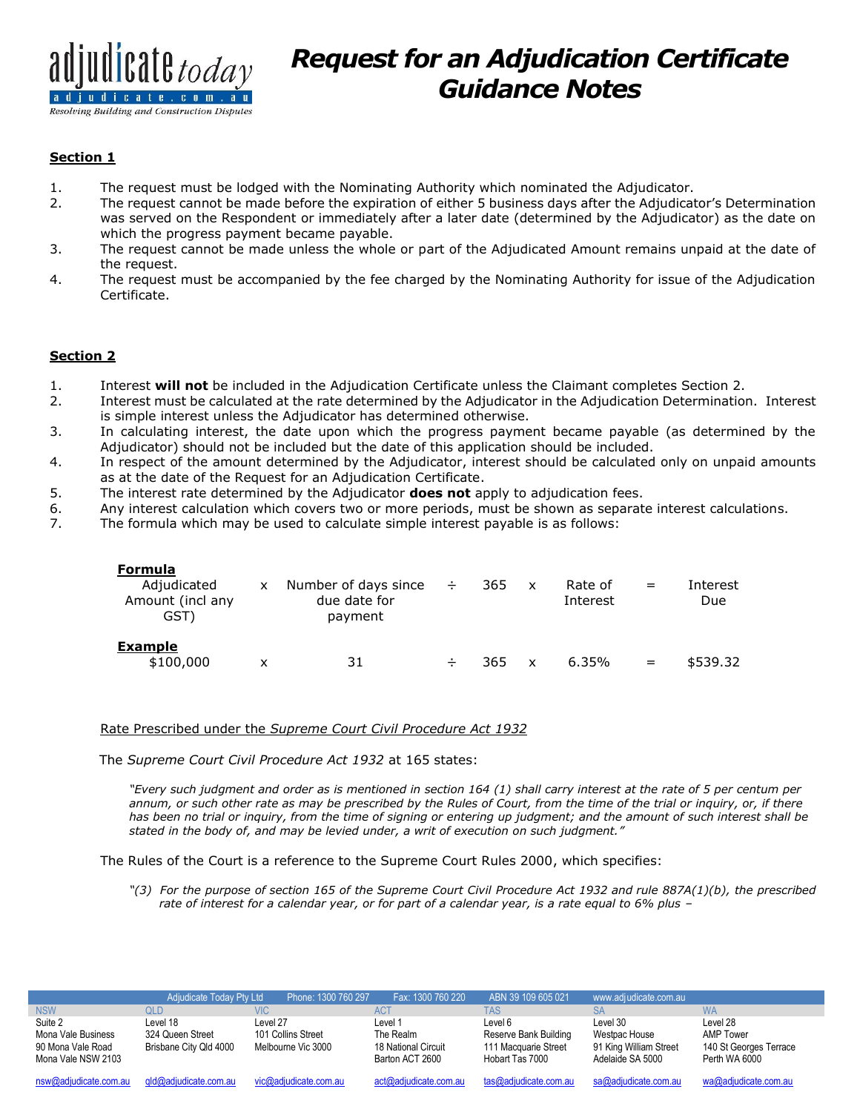

# *Request for an Adjudication Certificate Guidance Notes*

### **Section 1**

- 1. The request must be lodged with the Nominating Authority which nominated the Adjudicator.
- 2. The request cannot be made before the expiration of either 5 business days after the Adjudicator's Determination was served on the Respondent or immediately after a later date (determined by the Adjudicator) as the date on which the progress payment became payable.
- 3. The request cannot be made unless the whole or part of the Adjudicated Amount remains unpaid at the date of the request.
- 4. The request must be accompanied by the fee charged by the Nominating Authority for issue of the Adjudication Certificate.

## **Section 2**

- 1. Interest **will not** be included in the Adjudication Certificate unless the Claimant completes Section 2.
- 2. Interest must be calculated at the rate determined by the Adjudicator in the Adjudication Determination. Interest is simple interest unless the Adjudicator has determined otherwise.
- 3. In calculating interest, the date upon which the progress payment became payable (as determined by the Adjudicator) should not be included but the date of this application should be included.
- 4. In respect of the amount determined by the Adjudicator, interest should be calculated only on unpaid amounts as at the date of the Request for an Adjudication Certificate.
- 5. The interest rate determined by the Adjudicator **does not** apply to adjudication fees.
- 6. Any interest calculation which covers two or more periods, must be shown as separate interest calculations.
- 7. The formula which may be used to calculate simple interest payable is as follows:

| Formula<br>Adjudicated<br>Amount (incl any<br>GST) | X. | Number of days since<br>due date for<br>payment | $\rightarrow$ | 365 | $\mathsf{X}$ | Rate of<br>Interest | $=$ | Interest<br>Due |
|----------------------------------------------------|----|-------------------------------------------------|---------------|-----|--------------|---------------------|-----|-----------------|
| <b>Example</b><br>\$100,000                        | x  | 31                                              | ÷             | 365 | $\mathsf{x}$ | $6.35\%$            | $=$ | \$539.32        |

### Rate Prescribed under the *Supreme Court Civil Procedure Act 1932*

The *Supreme Court Civil Procedure Act 1932* at 165 states:

*"Every such judgment and order as is mentioned in section 164 (1) shall carry interest at the rate of 5 per centum per annum, or such other rate as may be prescribed by the Rules of Court, from the time of the trial or inquiry, or, if there has been no trial or inquiry, from the time of signing or entering up judgment; and the amount of such interest shall be stated in the body of, and may be levied under, a writ of execution on such judgment."*

The Rules of the Court is a reference to the Supreme Court Rules 2000, which specifies:

*"(3) For the purpose of section 165 of the Supreme Court Civil Procedure Act 1932 and rule 887A(1)(b), the prescribed rate of interest for a calendar year, or for part of a calendar year, is a rate equal to 6% plus –*

|                                                                          | Adjudicate Today Pty Ltd                               | Phone: 1300 760 297                                  | Fax: 1300 760 220                                              | ABN 39 109 605 021                                                          | www.adjudicate.com.au                                                   |                                                                  |
|--------------------------------------------------------------------------|--------------------------------------------------------|------------------------------------------------------|----------------------------------------------------------------|-----------------------------------------------------------------------------|-------------------------------------------------------------------------|------------------------------------------------------------------|
| <b>NSW</b>                                                               | QLD                                                    | <b>VIC</b>                                           | <b>ACT</b>                                                     | TAS                                                                         | <b>SA</b>                                                               | <b>WA</b>                                                        |
| Suite 2<br>Mona Vale Business<br>90 Mona Vale Road<br>Mona Vale NSW 2103 | Level 18<br>324 Queen Street<br>Brisbane City Qld 4000 | Level 27<br>101 Collins Street<br>Melbourne Vic 3000 | Level 1<br>The Realm<br>18 National Circuit<br>Barton ACT 2600 | Level 6<br>Reserve Bank Building<br>111 Macquarie Street<br>Hobart Tas 7000 | Level 30<br>Westpac House<br>91 King William Street<br>Adelaide SA 5000 | Level 28<br>AMP Tower<br>140 St Georges Terrace<br>Perth WA 6000 |
| nsw@adjudicate.com.au                                                    | gld@adjudicate.com.au                                  | vic@adjudicate.com.au                                | act@adjudicate.com.au                                          | tas@adjudicate.com.au                                                       | sa@adjudicate.com.au                                                    | wa@adjudicate.com.au                                             |